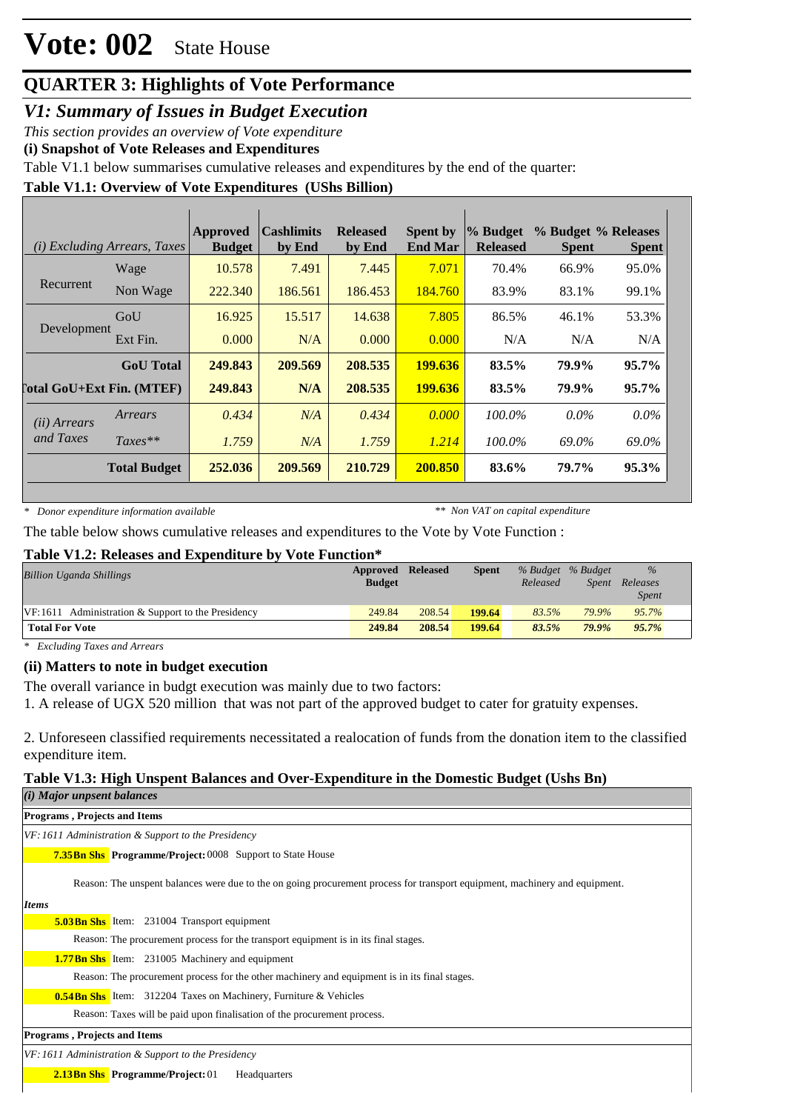# **Vote: 002** State House

# **QUARTER 3: Highlights of Vote Performance**

*V1: Summary of Issues in Budget Execution*

*This section provides an overview of Vote expenditure* 

**(i) Snapshot of Vote Releases and Expenditures**

Table V1.1 below summarises cumulative releases and expenditures by the end of the quarter:

## **Table V1.1: Overview of Vote Expenditures (UShs Billion)**

|                                  | ( <i>i</i> ) Excluding Arrears, Taxes | <b>Approved</b><br><b>Budget</b> | <b>Cashlimits</b><br>by End | <b>Released</b><br>by End | <b>Spent by</b><br><b>End Mar</b> | % Budget<br><b>Released</b> | % Budget % Releases<br><b>Spent</b> | <b>Spent</b> |
|----------------------------------|---------------------------------------|----------------------------------|-----------------------------|---------------------------|-----------------------------------|-----------------------------|-------------------------------------|--------------|
|                                  | Wage                                  | 10.578                           | 7.491                       | 7.445                     | 7.071                             | 70.4%                       | 66.9%                               | 95.0%        |
| Recurrent                        | Non Wage                              | 222.340                          | 186.561                     | 186.453                   | 184.760                           | 83.9%                       | 83.1%                               | 99.1%        |
| Development                      | GoU                                   | 16.925                           | 15.517                      | 14.638                    | 7.805                             | 86.5%                       | 46.1%                               | 53.3%        |
|                                  | Ext Fin.                              | 0.000                            | N/A                         | 0.000                     | 0.000                             | N/A                         | N/A                                 | N/A          |
|                                  | <b>GoU</b> Total                      | 249.843                          | 209.569                     | 208.535                   | 199.636                           | 83.5%                       | 79.9%                               | 95.7%        |
| <b>Total GoU+Ext Fin. (MTEF)</b> |                                       | 249.843                          | N/A                         | 208.535                   | 199.636                           | 83.5%                       | 79.9%                               | 95.7%        |
| (ii) Arrears                     | Arrears                               | 0.434                            | N/A                         | 0.434                     | 0.000                             | $100.0\%$                   | $0.0\%$                             | $0.0\%$      |
| and Taxes                        | $Taxes**$                             | 1.759                            | N/A                         | 1.759                     | 1.214                             | 100.0%                      | 69.0%                               | 69.0%        |
|                                  | <b>Total Budget</b>                   | 252.036                          | 209.569                     | 210.729                   | 200.850                           | 83.6%                       | 79.7%                               | 95.3%        |

*\* Donor expenditure information available*

*\*\* Non VAT on capital expenditure*

The table below shows cumulative releases and expenditures to the Vote by Vote Function :

### **Table V1.2: Releases and Expenditure by Vote Function\***

| <b>Billion Uganda Shillings</b>                      | Approved<br><b>Budget</b> | <b>Released</b> | <b>Spent</b> | Released | % Budget % Budget<br>Spent | $\%$<br>Releases<br><i>Spent</i> |
|------------------------------------------------------|---------------------------|-----------------|--------------|----------|----------------------------|----------------------------------|
| $VF:1611$ Administration & Support to the Presidency | 249.84                    | 208.54          | 199.64       | 83.5%    | 79.9%                      | 95.7%                            |
| <b>Total For Vote</b>                                | 249.84                    | 208.54          | 199.64       | 83.5%    | $79.9\%$                   | $95.7\%$                         |

*\* Excluding Taxes and Arrears*

## **(ii) Matters to note in budget execution**

The overall variance in budgt execution was mainly due to two factors:

1. A release of UGX 520 million that was not part of the approved budget to cater for gratuity expenses.

2. Unforeseen classified requirements necessitated a realocation of funds from the donation item to the classified expenditure item.

## **Table V1.3: High Unspent Balances and Over-Expenditure in the Domestic Budget (Ushs Bn)**

| $(i)$ Major unpsent balances                                                                                                |  |  |  |  |  |  |  |
|-----------------------------------------------------------------------------------------------------------------------------|--|--|--|--|--|--|--|
| <b>Programs, Projects and Items</b>                                                                                         |  |  |  |  |  |  |  |
| VF: 1611 Administration & Support to the Presidency                                                                         |  |  |  |  |  |  |  |
| <b>7.35 Bn Shs</b> Programme/Project: 0008 Support to State House                                                           |  |  |  |  |  |  |  |
| Reason: The unspent balances were due to the on going procurement process for transport equipment, machinery and equipment. |  |  |  |  |  |  |  |
| <b>Items</b>                                                                                                                |  |  |  |  |  |  |  |
| <b>5.03Bn Shs</b> Item: 231004 Transport equipment                                                                          |  |  |  |  |  |  |  |
| Reason: The procurement process for the transport equipment is in its final stages.                                         |  |  |  |  |  |  |  |
| <b>1.77 Bn Shs</b> Item: 231005 Machinery and equipment                                                                     |  |  |  |  |  |  |  |
| Reason: The procurement process for the other machinery and equipment is in its final stages.                               |  |  |  |  |  |  |  |
| <b>0.54Bn Shs</b> Item: 312204 Taxes on Machinery, Furniture & Vehicles                                                     |  |  |  |  |  |  |  |
| Reason: Taxes will be paid upon finalisation of the procurement process.                                                    |  |  |  |  |  |  |  |
| <b>Programs, Projects and Items</b>                                                                                         |  |  |  |  |  |  |  |
| VF: 1611 Administration & Support to the Presidency                                                                         |  |  |  |  |  |  |  |
| <b>2.13Bn Shs</b> Programme/Project: 01<br>Headquarters                                                                     |  |  |  |  |  |  |  |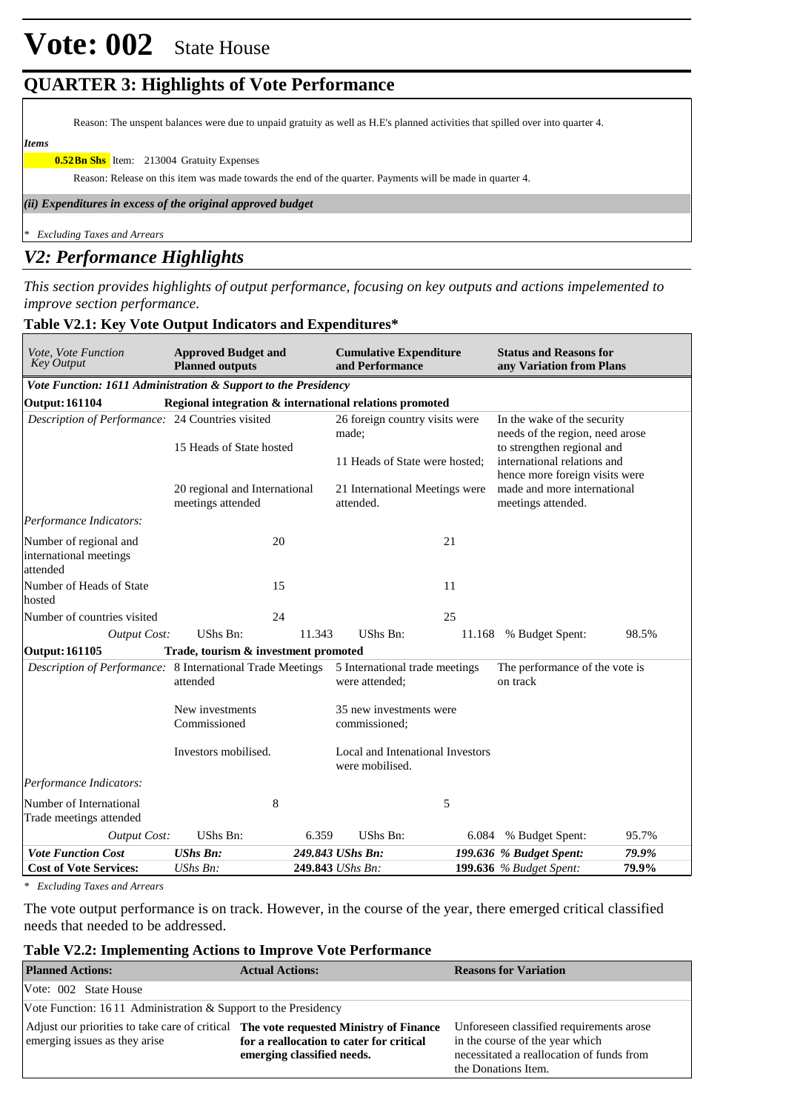# **Vote: 002** State House

# **QUARTER 3: Highlights of Vote Performance**

Reason: The unspent balances were due to unpaid gratuity as well as H.E's planned activities that spilled over into quarter 4.

*Items*

**0.52Bn Shs** Item: 213004 Gratuity Expenses

Reason: Release on this item was made towards the end of the quarter. Payments will be made in quarter 4.

*(ii) Expenditures in excess of the original approved budget*

*\* Excluding Taxes and Arrears*

# *V2: Performance Highlights*

*This section provides highlights of output performance, focusing on key outputs and actions impelemented to improve section performance.*

| Vote, Vote Function<br><b>Approved Budget and</b><br><b>Key Output</b><br><b>Planned outputs</b> |                                                         |        | <b>Cumulative Expenditure</b><br>and Performance    |       | <b>Status and Reasons for</b><br>any Variation from Plans                                                                                                     |       |  |  |
|--------------------------------------------------------------------------------------------------|---------------------------------------------------------|--------|-----------------------------------------------------|-------|---------------------------------------------------------------------------------------------------------------------------------------------------------------|-------|--|--|
| Vote Function: 1611 Administration & Support to the Presidency                                   |                                                         |        |                                                     |       |                                                                                                                                                               |       |  |  |
| <b>Output: 161104</b>                                                                            | Regional integration & international relations promoted |        |                                                     |       |                                                                                                                                                               |       |  |  |
| Description of Performance: 24 Countries visited                                                 |                                                         |        | 26 foreign country visits were<br>made:             |       | In the wake of the security<br>needs of the region, need arose<br>to strengthen regional and<br>international relations and<br>hence more foreign visits were |       |  |  |
|                                                                                                  | 15 Heads of State hosted                                |        | 11 Heads of State were hosted;                      |       |                                                                                                                                                               |       |  |  |
|                                                                                                  | 20 regional and International<br>meetings attended      |        | 21 International Meetings were<br>attended.         |       | made and more international<br>meetings attended.                                                                                                             |       |  |  |
| Performance Indicators:                                                                          |                                                         |        |                                                     |       |                                                                                                                                                               |       |  |  |
| Number of regional and<br>international meetings<br>attended                                     | 20                                                      |        |                                                     | 21    |                                                                                                                                                               |       |  |  |
| Number of Heads of State<br>hosted                                                               | 15                                                      |        |                                                     | 11    |                                                                                                                                                               |       |  |  |
| Number of countries visited                                                                      | 24                                                      |        |                                                     | 25    |                                                                                                                                                               |       |  |  |
| <b>Output Cost:</b>                                                                              | <b>UShs Bn:</b>                                         | 11.343 | UShs Bn:                                            |       | 11.168 % Budget Spent:                                                                                                                                        | 98.5% |  |  |
| <b>Output: 161105</b>                                                                            | Trade, tourism & investment promoted                    |        |                                                     |       |                                                                                                                                                               |       |  |  |
| Description of Performance: 8 International Trade Meetings                                       | attended                                                |        | 5 International trade meetings<br>were attended:    |       | The performance of the vote is<br>on track                                                                                                                    |       |  |  |
|                                                                                                  | New investments<br>Commissioned                         |        | 35 new investments were<br>commissioned;            |       |                                                                                                                                                               |       |  |  |
|                                                                                                  | Investors mobilised.                                    |        | Local and Intenational Investors<br>were mobilised. |       |                                                                                                                                                               |       |  |  |
| Performance Indicators:                                                                          |                                                         |        |                                                     |       |                                                                                                                                                               |       |  |  |
| Number of International<br>Trade meetings attended                                               | 8                                                       |        |                                                     | 5     |                                                                                                                                                               |       |  |  |
| <b>Output Cost:</b>                                                                              | UShs Bn:                                                | 6.359  | UShs Bn:                                            | 6.084 | % Budget Spent:                                                                                                                                               | 95.7% |  |  |
| <b>Vote Function Cost</b>                                                                        | <b>UShs Bn:</b>                                         |        | 249.843 UShs Bn:                                    |       | 199.636 % Budget Spent:                                                                                                                                       | 79.9% |  |  |
| <b>Cost of Vote Services:</b>                                                                    | $UShs Bn$ :                                             |        | 249.843 UShs Bn:                                    |       | 199.636 % Budget Spent:                                                                                                                                       | 79.9% |  |  |

#### **Table V2.1: Key Vote Output Indicators and Expenditures\***

*\* Excluding Taxes and Arrears*

The vote output performance is on track. However, in the course of the year, there emerged critical classified needs that needed to be addressed.

## **Table V2.2: Implementing Actions to Improve Vote Performance**

| <b>Planned Actions:</b>                                                                                                | <b>Actual Actions:</b>                                                 | <b>Reasons for Variation</b>                                                                                                                    |  |  |  |  |  |
|------------------------------------------------------------------------------------------------------------------------|------------------------------------------------------------------------|-------------------------------------------------------------------------------------------------------------------------------------------------|--|--|--|--|--|
| Vote: 002 State House                                                                                                  |                                                                        |                                                                                                                                                 |  |  |  |  |  |
| Vote Function: 16.11 Administration $&$ Support to the Presidency                                                      |                                                                        |                                                                                                                                                 |  |  |  |  |  |
| Adjust our priorities to take care of critical The vote requested Ministry of Finance<br>emerging issues as they arise | for a reallocation to cater for critical<br>emerging classified needs. | Unforeseen classified requirements arose<br>in the course of the year which<br>necessitated a reallocation of funds from<br>the Donations Item. |  |  |  |  |  |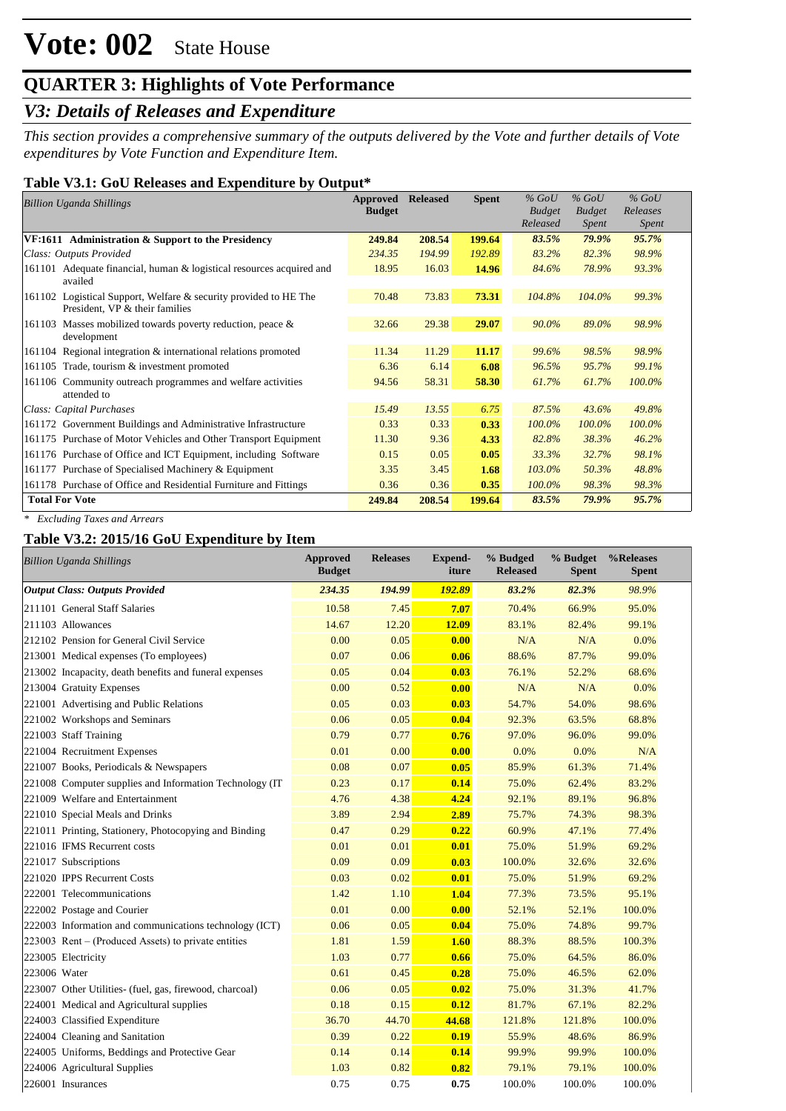# **QUARTER 3: Highlights of Vote Performance**

# *V3: Details of Releases and Expenditure*

*This section provides a comprehensive summary of the outputs delivered by the Vote and further details of Vote expenditures by Vote Function and Expenditure Item.*

## **Table V3.1: GoU Releases and Expenditure by Output\***

| <b>Billion Uganda Shillings</b>                                                                    | Approved<br><b>Budget</b> | <b>Released</b> | <b>Spent</b> | $%$ GoU<br><b>Budget</b> | $%$ GoU<br><b>Budget</b> | $%$ GoU<br>Releases |
|----------------------------------------------------------------------------------------------------|---------------------------|-----------------|--------------|--------------------------|--------------------------|---------------------|
|                                                                                                    |                           |                 |              | Released                 | Spent                    | Spent               |
| VF:1611 Administration & Support to the Presidency                                                 | 249.84                    | 208.54          | 199.64       | 83.5%                    | 79.9%                    | 95.7%               |
| Class: Outputs Provided                                                                            | 234.35                    | 194.99          | 192.89       | 83.2%                    | 82.3%                    | 98.9%               |
| 161101 Adequate financial, human & logistical resources acquired and<br>availed                    | 18.95                     | 16.03           | 14.96        | 84.6%                    | 78.9%                    | 93.3%               |
| 161102 Logistical Support, Welfare & security provided to HE The<br>President, VP & their families | 70.48                     | 73.83           | 73.31        | 104.8%                   | 104.0%                   | 99.3%               |
| 161103 Masses mobilized towards poverty reduction, peace &<br>development                          | 32.66                     | 29.38           | 29.07        | 90.0%                    | 89.0%                    | 98.9%               |
| 161104 Regional integration & international relations promoted                                     | 11.34                     | 11.29           | 11.17        | 99.6%                    | 98.5%                    | 98.9%               |
| 161105 Trade, tourism & investment promoted                                                        | 6.36                      | 6.14            | 6.08         | 96.5%                    | 95.7%                    | 99.1%               |
| 161106 Community outreach programmes and welfare activities<br>attended to                         | 94.56                     | 58.31           | 58.30        | 61.7%                    | 61.7%                    | 100.0%              |
| Class: Capital Purchases                                                                           | 15.49                     | 13.55           | 6.75         | 87.5%                    | 43.6%                    | 49.8%               |
| 161172 Government Buildings and Administrative Infrastructure                                      | 0.33                      | 0.33            | 0.33         | $100.0\%$                | $100.0\%$                | 100.0%              |
| 161175 Purchase of Motor Vehicles and Other Transport Equipment                                    | 11.30                     | 9.36            | 4.33         | 82.8%                    | 38.3%                    | 46.2%               |
| 161176 Purchase of Office and ICT Equipment, including Software                                    | 0.15                      | 0.05            | 0.05         | 33.3%                    | 32.7%                    | 98.1%               |
| 161177 Purchase of Specialised Machinery & Equipment                                               | 3.35                      | 3.45            | 1.68         | 103.0%                   | 50.3%                    | 48.8%               |
| 161178 Purchase of Office and Residential Furniture and Fittings                                   | 0.36                      | 0.36            | 0.35         | 100.0%                   | 98.3%                    | 98.3%               |
| <b>Total For Vote</b>                                                                              | 249.84                    | 208.54          | 199.64       | 83.5%                    | 79.9%                    | 95.7%               |

*\* Excluding Taxes and Arrears*

## **Table V3.2: 2015/16 GoU Expenditure by Item**

| <b>Billion Uganda Shillings</b>                          | Approved<br><b>Budget</b> | <b>Releases</b> | <b>Expend-</b><br>iture | % Budged<br><b>Released</b> | % Budget<br><b>Spent</b> | %Releases<br><b>Spent</b> |
|----------------------------------------------------------|---------------------------|-----------------|-------------------------|-----------------------------|--------------------------|---------------------------|
| <b>Output Class: Outputs Provided</b>                    | 234.35                    | 194.99          | 192.89                  | 83.2%                       | 82.3%                    | 98.9%                     |
| 211101 General Staff Salaries                            | 10.58                     | 7.45            | 7.07                    | 70.4%                       | 66.9%                    | 95.0%                     |
| 211103 Allowances                                        | 14.67                     | 12.20           | 12.09                   | 83.1%                       | 82.4%                    | 99.1%                     |
| 212102 Pension for General Civil Service                 | 0.00                      | 0.05            | 0.00                    | N/A                         | N/A                      | 0.0%                      |
| 213001 Medical expenses (To employees)                   | 0.07                      | 0.06            | 0.06                    | 88.6%                       | 87.7%                    | 99.0%                     |
| 213002 Incapacity, death benefits and funeral expenses   | 0.05                      | 0.04            | 0.03                    | 76.1%                       | 52.2%                    | 68.6%                     |
| 213004 Gratuity Expenses                                 | 0.00                      | 0.52            | 0.00                    | N/A                         | N/A                      | 0.0%                      |
| 221001 Advertising and Public Relations                  | 0.05                      | 0.03            | 0.03                    | 54.7%                       | 54.0%                    | 98.6%                     |
| 221002 Workshops and Seminars                            | 0.06                      | 0.05            | 0.04                    | 92.3%                       | 63.5%                    | 68.8%                     |
| 221003 Staff Training                                    | 0.79                      | 0.77            | 0.76                    | 97.0%                       | 96.0%                    | 99.0%                     |
| 221004 Recruitment Expenses                              | 0.01                      | 0.00            | 0.00                    | 0.0%                        | 0.0%                     | N/A                       |
| 221007 Books, Periodicals & Newspapers                   | 0.08                      | 0.07            | 0.05                    | 85.9%                       | 61.3%                    | 71.4%                     |
| 221008 Computer supplies and Information Technology (IT) | 0.23                      | 0.17            | 0.14                    | 75.0%                       | 62.4%                    | 83.2%                     |
| 221009 Welfare and Entertainment                         | 4.76                      | 4.38            | 4.24                    | 92.1%                       | 89.1%                    | 96.8%                     |
| 221010 Special Meals and Drinks                          | 3.89                      | 2.94            | 2.89                    | 75.7%                       | 74.3%                    | 98.3%                     |
| 221011 Printing, Stationery, Photocopying and Binding    | 0.47                      | 0.29            | 0.22                    | 60.9%                       | 47.1%                    | 77.4%                     |
| 221016 IFMS Recurrent costs                              | 0.01                      | 0.01            | 0.01                    | 75.0%                       | 51.9%                    | 69.2%                     |
| 221017 Subscriptions                                     | 0.09                      | 0.09            | 0.03                    | 100.0%                      | 32.6%                    | 32.6%                     |
| 221020 IPPS Recurrent Costs                              | 0.03                      | 0.02            | 0.01                    | 75.0%                       | 51.9%                    | 69.2%                     |
| 222001 Telecommunications                                | 1.42                      | 1.10            | 1.04                    | 77.3%                       | 73.5%                    | 95.1%                     |
| 222002 Postage and Courier                               | 0.01                      | 0.00            | 0.00                    | 52.1%                       | 52.1%                    | 100.0%                    |
| 222003 Information and communications technology (ICT)   | 0.06                      | 0.05            | 0.04                    | 75.0%                       | 74.8%                    | 99.7%                     |
| $223003$ Rent – (Produced Assets) to private entities    | 1.81                      | 1.59            | 1.60                    | 88.3%                       | 88.5%                    | 100.3%                    |
| 223005 Electricity                                       | 1.03                      | 0.77            | 0.66                    | 75.0%                       | 64.5%                    | 86.0%                     |
| 223006 Water                                             | 0.61                      | 0.45            | 0.28                    | 75.0%                       | 46.5%                    | 62.0%                     |
| 223007 Other Utilities- (fuel, gas, firewood, charcoal)  | 0.06                      | 0.05            | 0.02                    | 75.0%                       | 31.3%                    | 41.7%                     |
| 224001 Medical and Agricultural supplies                 | 0.18                      | 0.15            | 0.12                    | 81.7%                       | 67.1%                    | 82.2%                     |
| 224003 Classified Expenditure                            | 36.70                     | 44.70           | 44.68                   | 121.8%                      | 121.8%                   | 100.0%                    |
| 224004 Cleaning and Sanitation                           | 0.39                      | 0.22            | 0.19                    | 55.9%                       | 48.6%                    | 86.9%                     |
| 224005 Uniforms, Beddings and Protective Gear            | 0.14                      | 0.14            | 0.14                    | 99.9%                       | 99.9%                    | 100.0%                    |
| 224006 Agricultural Supplies                             | 1.03                      | 0.82            | 0.82                    | 79.1%                       | 79.1%                    | 100.0%                    |
| 226001 Insurances                                        | 0.75                      | 0.75            | 0.75                    | 100.0%                      | 100.0%                   | 100.0%                    |